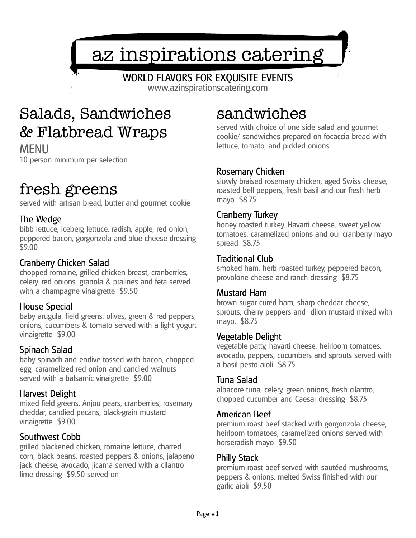# az inspirations catering

# WORLD FLAVORS FOR EXQUISITE EVENTS

www.azinspirationscatering.com

# Salads, Sandwiches & Flatbread Wraps

MENU 10 person minimum per selection

# fresh greens

served with artisan bread, butter and gourmet cookie

### The Wedge

bibb lettuce, iceberg lettuce, radish, apple, red onion, peppered bacon, gorgonzola and blue cheese dressing \$9.00

### Cranberry Chicken Salad

chopped romaine, grilled chicken breast, cranberries, celery, red onions, granola & pralines and feta served with a champagne vinaigrette \$9.50

#### House Special

baby arugula, field greens, olives, green & red peppers, onions, cucumbers & tomato served with a light yogurt vinaigrette \$9.00

### Spinach Salad

baby spinach and endive tossed with bacon, chopped egg, caramelized red onion and candied walnuts served with a balsamic vinaigrette \$9.00

#### Harvest Delight

mixed field greens, Anjou pears, cranberries, rosemary cheddar, candied pecans, black-grain mustard vinaigrette \$9.00

#### Southwest Cobb

grilled blackened chicken, romaine lettuce, charred corn, black beans, roasted peppers & onions, jalapeno jack cheese, avocado, jicama served with a cilantro lime dressing \$9.50 served on

# sandwiches

served with choice of one side salad and gourmet cookie/ sandwiches prepared on focaccia bread with lettuce, tomato, and pickled onions

#### Rosemary Chicken

slowly braised rosemary chicken, aged Swiss cheese, roasted bell peppers, fresh basil and our fresh herb mayo \$8.75

#### Cranberry Turkey

honey roasted turkey, Havarti cheese, sweet yellow tomatoes, caramelized onions and our cranberry mayo spread \$8.75

#### Traditional Club

smoked ham, herb roasted turkey, peppered bacon, provolone cheese and ranch dressing \$8.75

#### Mustard Ham

brown sugar cured ham, sharp cheddar cheese, sprouts, cherry peppers and dijon mustard mixed with mayo, \$8.75

#### Vegetable Delight

vegetable patty, havarti cheese, heirloom tomatoes, avocado, peppers, cucumbers and sprouts served with a basil pesto aioli \$8.75

#### Tuna Salad

albacore tuna, celery, green onions, fresh cilantro, chopped cucumber and Caesar dressing \$8.75

#### American Beef

premium roast beef stacked with gorgonzola cheese, heirloom tomatoes, caramelized onions served with horseradish mayo \$9.50

#### Philly Stack

premium roast beef served with sautéed mushrooms, peppers & onions, melted Swiss finished with our garlic aioli \$9.50